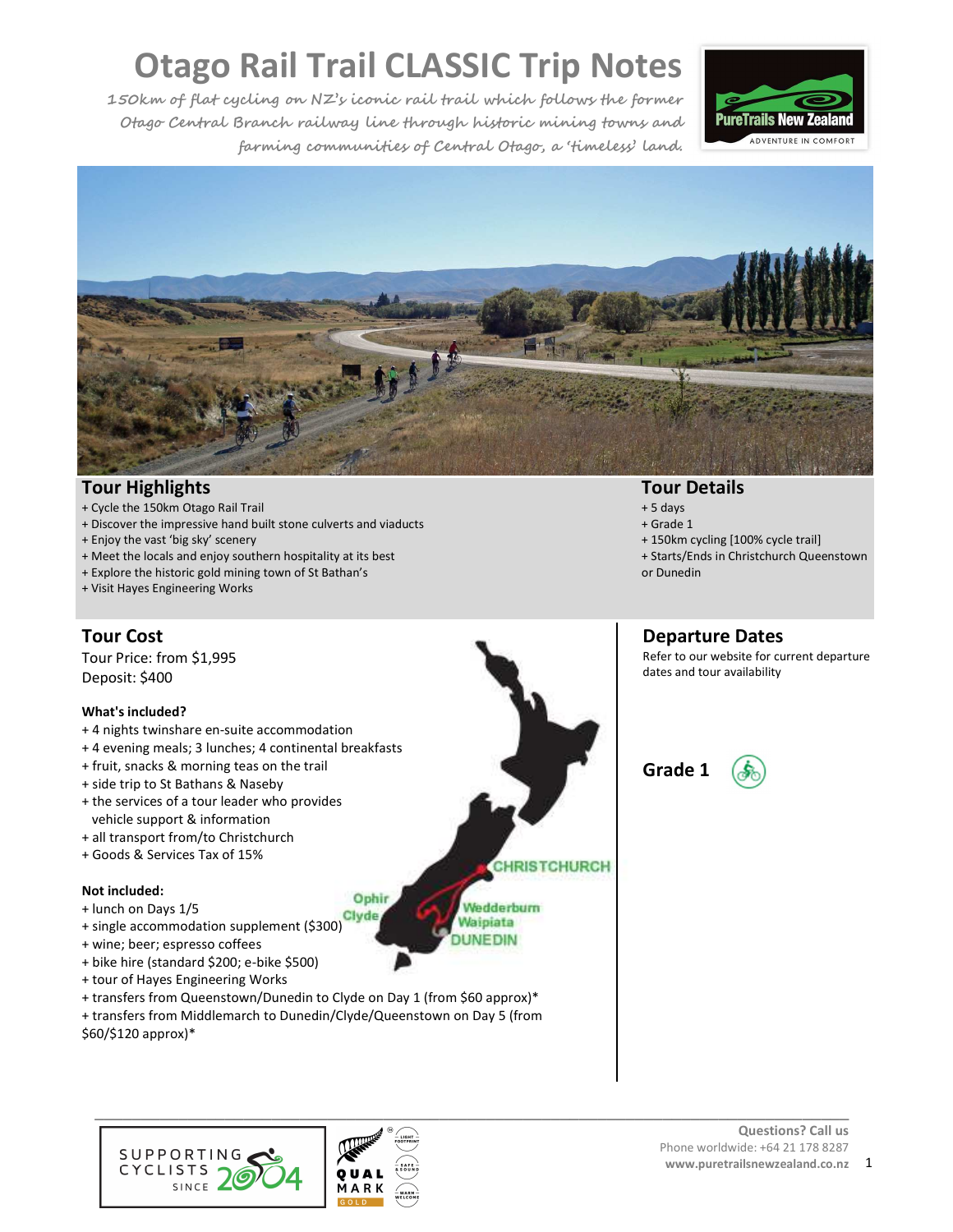**150km of flat cycling on NZ's iconic rail trail which follows the former Otago Central Branch railway line through historic mining towns and farming communities of Central Otago, a 'timeless' land.** 





#### **Tour Highlights**

- + Cycle the 150km Otago Rail Trail
- + Discover the impressive hand built stone culverts and viaducts
- + Enjoy the vast 'big sky' scenery
- + Meet the locals and enjoy southern hospitality at its best
- + Explore the historic gold mining town of St Bathan's
- + Visit Hayes Engineering Works

### **Tour Cost**

Tour Price: from \$1,995 Deposit: \$400

#### **What's included?**

- + 4 nights twinshare en-suite accommodation
- + 4 evening meals; 3 lunches; 4 continental breakfasts
- + fruit, snacks & morning teas on the trail
- + side trip to St Bathans & Naseby
- + the services of a tour leader who provides vehicle support & information
- + all transport from/to Christchurch
- + Goods & Services Tax of 15%

#### **Not included:**

- + lunch on Days 1/5
- + idition Days 1/3<br>+ single accommodation supplement (\$300)
- + wine; beer; espresso coffees
- + bike hire (standard \$200; e-bike \$500)
- + tour of Hayes Engineering Works
- + transfers from Queenstown/Dunedin to Clyde on Day 1 (from \$60 approx)\*
- + transfers from Middlemarch to Dunedin/Clyde/Queenstown on Day 5 (from \$60/\$120 approx)\*





Ophir

#### **Tour Details**

- + 5 days
- + Grade 1
- + 150km cycling [100% cycle trail]
- + Starts/Ends in Christchurch Queenstown or Dunedin

#### **Departure Dates**

Refer to our website for current departure dates and tour availability



**CHRISTCHURCH** 

Wedderburn Waipiata **DUNEDIN** 

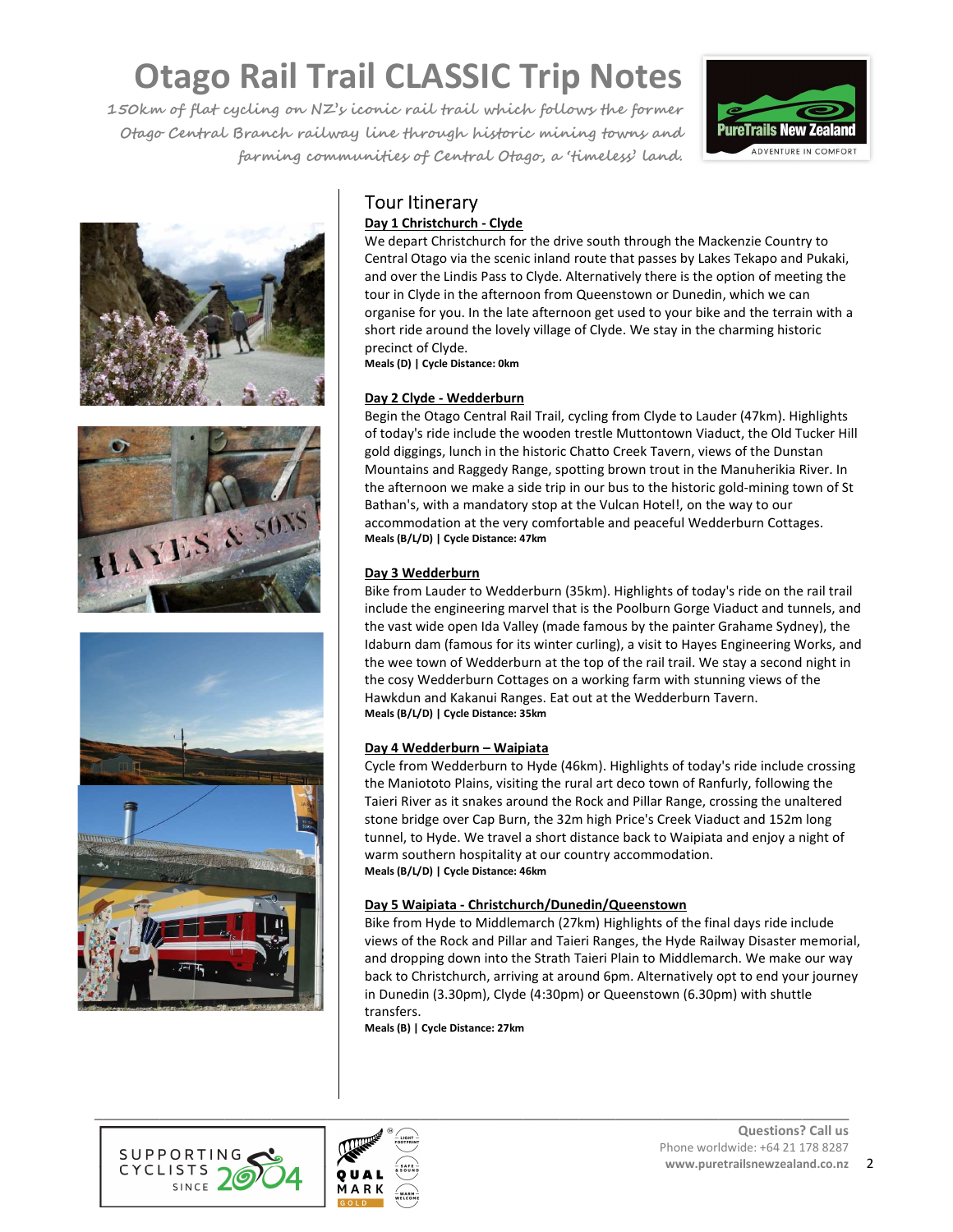**150km of flat cycling on NZ's iconic rail trail which follows the former Otago Central Branch railway line through historic mining towns and farming communities of Central Otago, a 'timeless' land.** 









### Tour Itinerary

#### **Day 1 Christchurch - Clyde**

We depart Christchurch for the drive south through the Mackenzie Country to Central Otago via the scenic inland route that passes by Lakes Tekapo and Pukaki, and over the Lindis Pass to Clyde. Alternatively there is the option of meeting the tour in Clyde in the afternoon from Queenstown or Dunedin, which we can organise for you. In the late afternoon get used to your bike and the terrain with a short ride around the lovely village of Clyde. We stay in the charming historic precinct of Clyde.

**Meals (D) | Cycle Distance: 0km**

#### **Day 2 Clyde - Wedderburn**

Begin the Otago Central Rail Trail, cycling from Clyde to Lauder (47km). Highlights of today's ride include the wooden trestle Muttontown Viaduct, the Old Tucker Hill gold diggings, lunch in the historic Chatto Creek Tavern, views of the Dunstan Mountains and Raggedy Range, spotting brown trout in the Manuherikia River. In the afternoon we make a side trip in our bus to the historic gold-mining town of St Bathan's, with a mandatory stop at the Vulcan Hotel!, on the way to our accommodation at the very comfortable and peaceful Wedderburn Cottages. **Meals (B/L/D) | Cycle Distance: 47km**

#### Day 3 Wedderburn

Bike from Lauder to Wedderburn (35km). Highlights of today's ride on the rail trail include the engineering marvel that is the Poolburn Gorge Viaduct and tunnels, and the vast wide open Ida Valley (made famous by the painter Grahame Sydney), the Idaburn dam (famous for its winter curling), a visit to Hayes Engineering Works, and the wee town of Wedderburn at the top of the rail trail. We stay a second night in the cosy Wedderburn Cottages on a working farm with stunning views of the Hawkdun and Kakanui Ranges. Eat out at the Wedderburn Tavern. **Meals (B/L/D) | Cycle Distance: 35km**

#### **Day 4 Wedderburn – Waipiata**

Cycle from Wedderburn to Hyde (46km). Highlights of today's ride include crossing the Maniototo Plains, visiting the rural art deco town of Ranfurly, following the Taieri River as it snakes around the Rock and Pillar Range, crossing the unaltered stone bridge over Cap Burn, the 32m high Price's Creek Viaduct and 152m long tunnel, to Hyde. We travel a short distance back to Waipiata and enjoy a night of warm southern hospitality at our country accommodation. **Meals (B/L/D) | Cycle Distance: 46km**

#### **Day 5 Waipiata - Christchurch/Dunedin/Queenstown**

Bike from Hyde to Middlemarch (27km) Highlights of the final days ride include views of the Rock and Pillar and Taieri Ranges, the Hyde Railway Disaster memorial, and dropping down into the Strath Taieri Plain to Middlemarch. We make our way back to Christchurch, arriving at around 6pm. Alternatively opt to end your journey in Dunedin (3.30pm), Clyde (4:30pm) or Queenstown (6.30pm) with shuttle transfers.

**Meals (B) | Cycle Distance: 27km** 



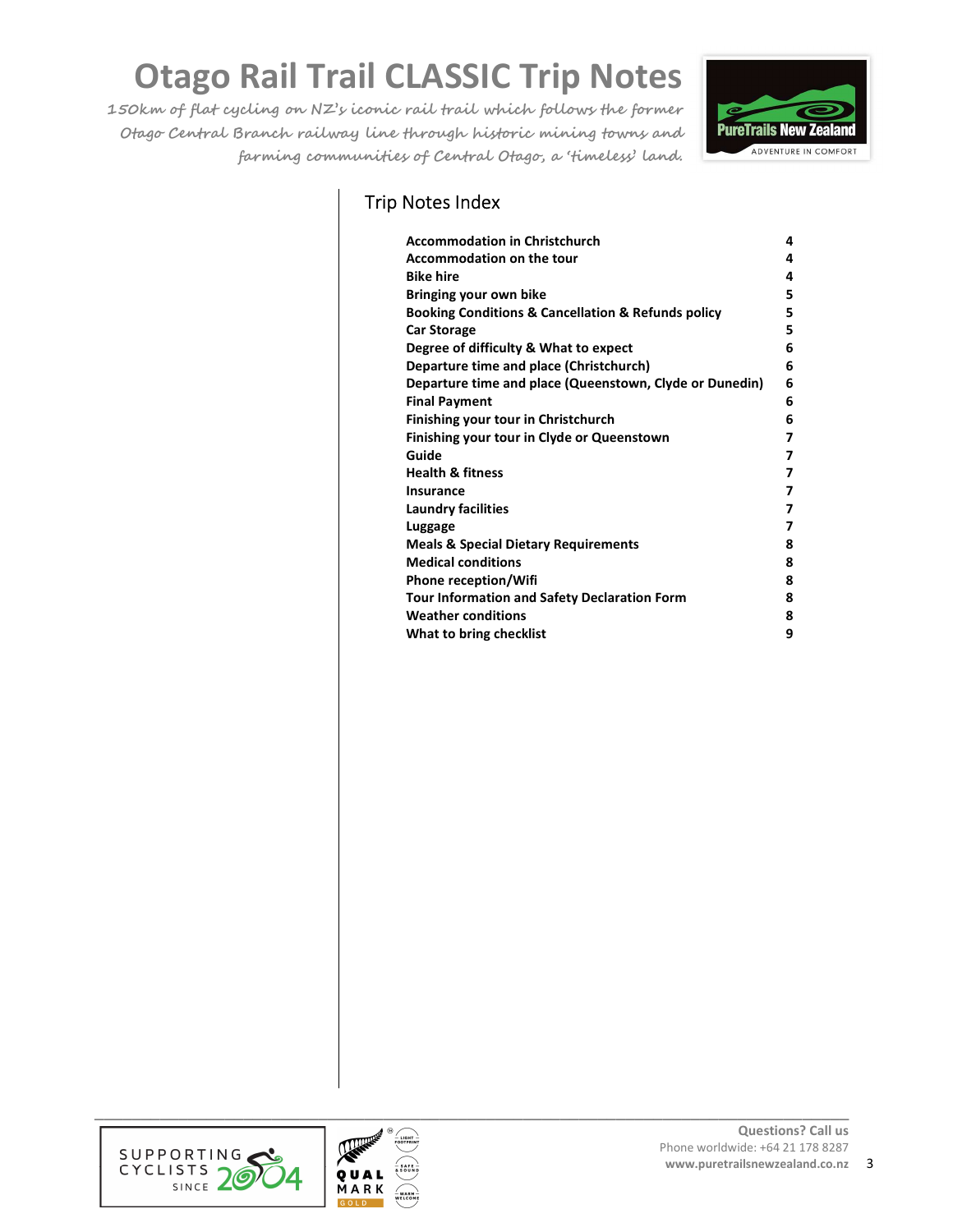**150km of flat cycling on NZ's iconic rail trail which follows the former Otago Central Branch railway line through historic mining towns and farming communities of Central Otago, a 'timeless' land.** 



### Trip Notes Index

| <b>Accommodation in Christchurch</b>                              | 4 |
|-------------------------------------------------------------------|---|
| <b>Accommodation on the tour</b>                                  | 4 |
| <b>Bike hire</b>                                                  | 4 |
| Bringing your own bike                                            | 5 |
| <b>Booking Conditions &amp; Cancellation &amp; Refunds policy</b> | 5 |
| <b>Car Storage</b>                                                | 5 |
| Degree of difficulty & What to expect                             | 6 |
| Departure time and place (Christchurch)                           | 6 |
| Departure time and place (Queenstown, Clyde or Dunedin)           | 6 |
| <b>Final Payment</b>                                              | 6 |
| Finishing your tour in Christchurch                               | 6 |
| Finishing your tour in Clyde or Queenstown                        | 7 |
| Guide                                                             | 7 |
| <b>Health &amp; fitness</b>                                       | 7 |
| <b>Insurance</b>                                                  | 7 |
| <b>Laundry facilities</b>                                         | 7 |
|                                                                   | 7 |
| Luggage                                                           |   |
| <b>Meals &amp; Special Dietary Requirements</b>                   | 8 |
| <b>Medical conditions</b>                                         | 8 |
| <b>Phone reception/Wifi</b>                                       | 8 |
| Tour Information and Safety Declaration Form                      | 8 |
| <b>Weather conditions</b>                                         | 8 |
| What to bring checklist                                           | 9 |





**\_\_\_\_\_\_\_\_\_\_\_\_\_\_\_\_\_\_\_\_\_\_\_\_\_\_\_\_\_\_\_\_\_\_\_\_\_\_\_\_\_\_\_\_\_\_\_\_\_\_\_\_\_\_\_\_\_\_\_\_\_\_\_\_\_\_\_\_\_\_\_\_\_\_\_\_\_\_\_\_\_**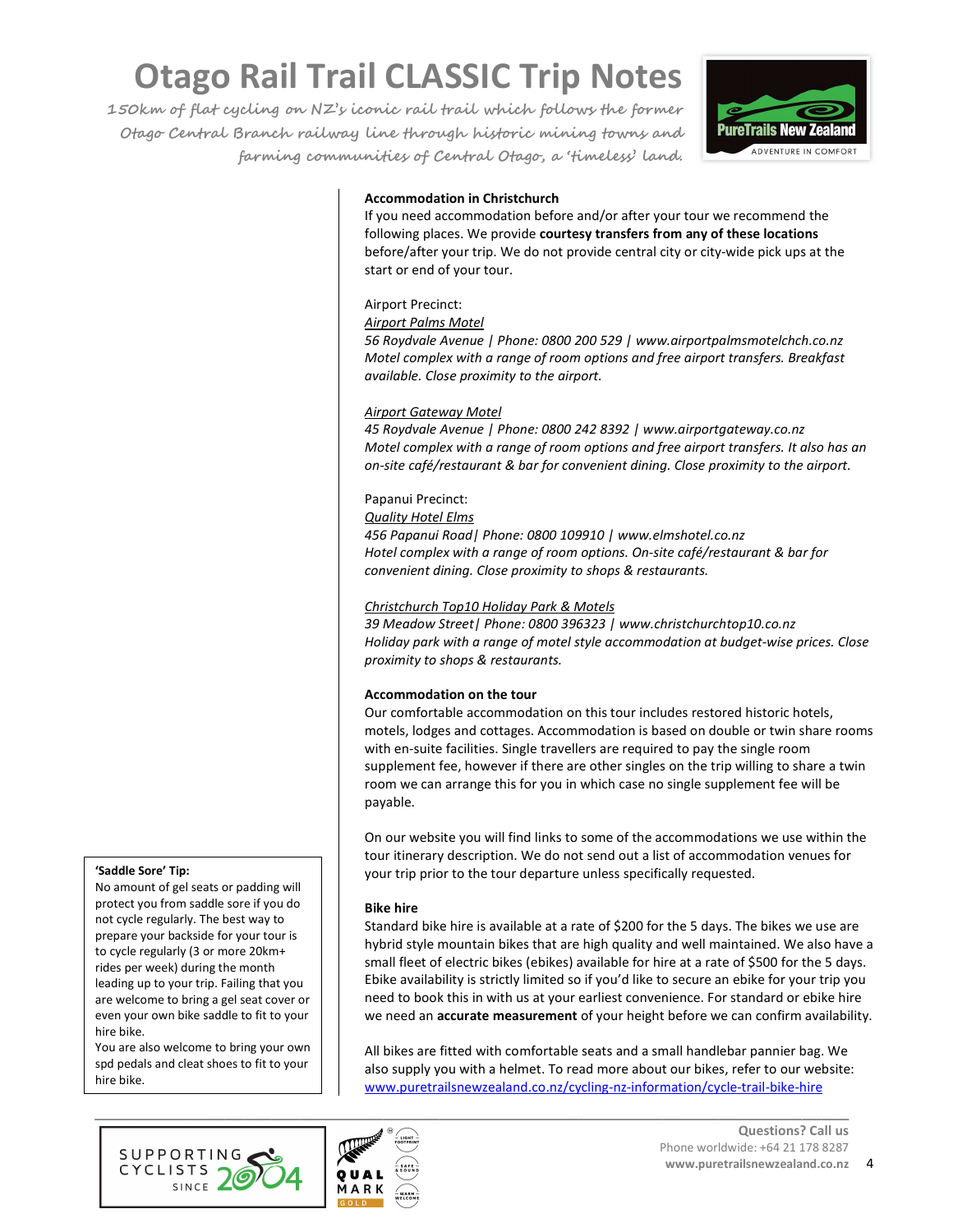**150km of flat cycling on NZ's iconic rail trail which follows the former Otago Central Branch railway line through historic mining towns and farming communities of Central Otago, a 'timeless' land.** 



#### **Accommodation in Christchurch**

If you need accommodation before and/or after your tour we recommend the following places. We provide **courtesy transfers from any of these locations** before/after your trip. We do not provide central city or city-wide pick ups at the start or end of your tour.

#### Airport Precinct:

#### *Airport Palms Motel*

*56 Roydvale Avenue | Phone: 0800 200 529 | www.airportpalmsmotelchch.co.nz Motel complex with a range of room options and free airport transfers. Breakfast available. Close proximity to the airport.* 

#### *Airport Gateway Motel*

*45 Roydvale Avenue | Phone: 0800 242 8392 | www.airportgateway.co.nz Motel complex with a range of room options and free airport transfers. It also has an on-site café/restaurant & bar for convenient dining. Close proximity to the airport.* 

#### Papanui Precinct:

#### *Quality Hotel Elms*

*456 Papanui Road| Phone: 0800 109910 | www.elmshotel.co.nz Hotel complex with a range of room options. On-site café/restaurant & bar for convenient dining. Close proximity to shops & restaurants.* 

#### *Christchurch Top10 Holiday Park & Motels*

*39 Meadow Street| Phone: 0800 396323 | www.christchurchtop10.co.nz Holiday park with a range of motel style accommodation at budget-wise prices. Close proximity to shops & restaurants.* 

#### **Accommodation on the tour**

Our comfortable accommodation on this tour includes restored historic hotels, motels, lodges and cottages. Accommodation is based on double or twin share rooms with en-suite facilities. Single travellers are required to pay the single room supplement fee, however if there are other singles on the trip willing to share a twin room we can arrange this for you in which case no single supplement fee will be payable.

On our website you will find links to some of the accommodations we use within the tour itinerary description. We do not send out a list of accommodation venues for your trip prior to the tour departure unless specifically requested.

#### **Bike hire**

Standard bike hire is available at a rate of \$200 for the 5 days. The bikes we use are hybrid style mountain bikes that are high quality and well maintained. We also have a small fleet of electric bikes (ebikes) available for hire at a rate of \$500 for the 5 days. Ebike availability is strictly limited so if you'd like to secure an ebike for your trip you need to book this in with us at your earliest convenience. For standard or ebike hire we need an **accurate measurement** of your height before we can confirm availability.

All bikes are fitted with comfortable seats and a small handlebar pannier bag. We also supply you with a helmet. To read more about our bikes, refer to our website: www.puretrailsnewzealand.co.nz/cycling-nz-information/cycle-trail-bike-hire





#### **'Saddle Sore' Tip:**

No amount of gel seats or padding will protect you from saddle sore if you do not cycle regularly. The best way to prepare your backside for your tour is to cycle regularly (3 or more 20km+ rides per week) during the month leading up to your trip. Failing that you are welcome to bring a gel seat cover or even your own bike saddle to fit to your hire bike.

You are also welcome to bring your own spd pedals and cleat shoes to fit to your hire bike.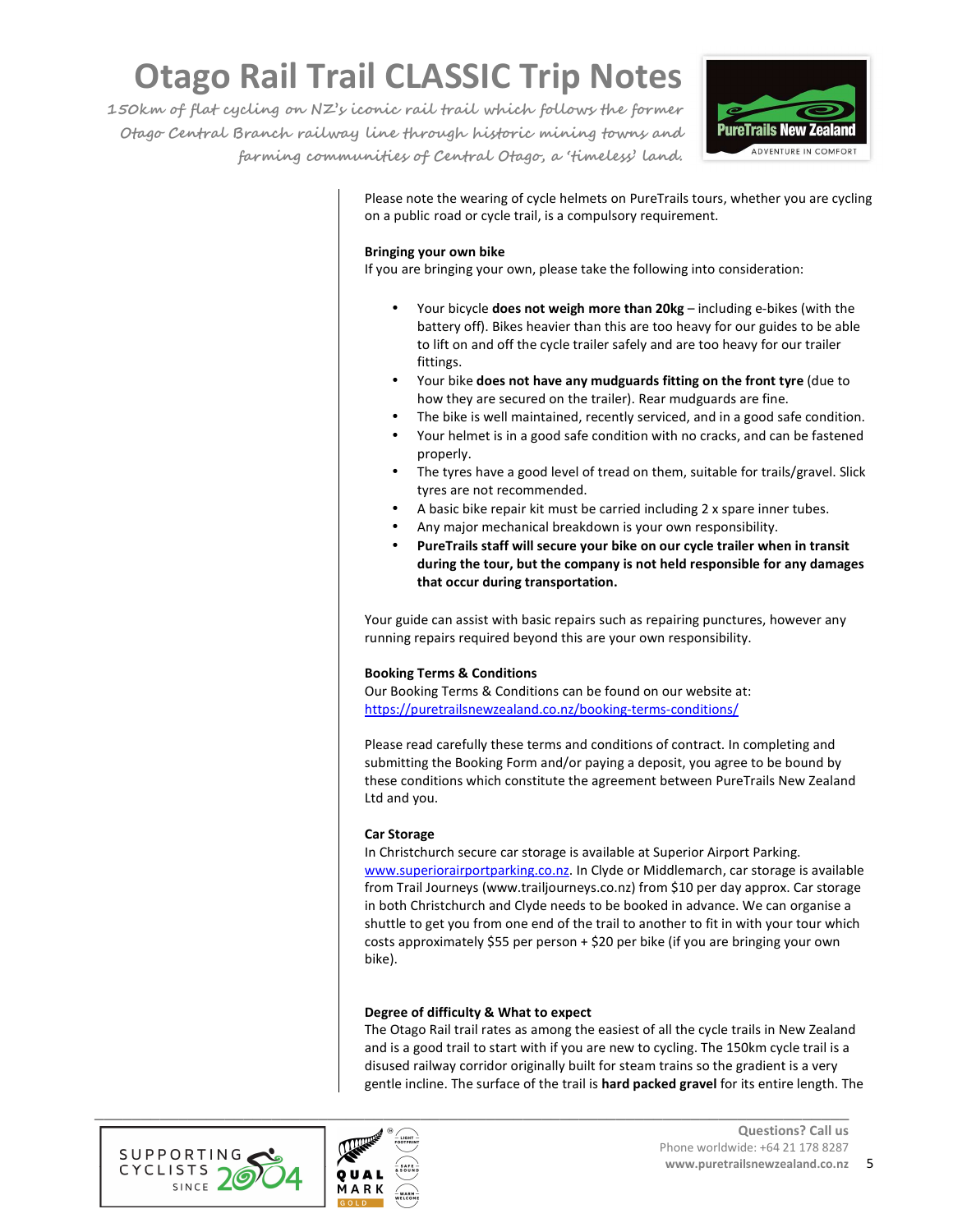**150km of flat cycling on NZ's iconic rail trail which follows the former Otago Central Branch railway line through historic mining towns and farming communities of Central Otago, a 'timeless' land.** 



Please note the wearing of cycle helmets on PureTrails tours, whether you are cycling on a public road or cycle trail, is a compulsory requirement.

#### **Bringing your own bike**

If you are bringing your own, please take the following into consideration:

- Your bicycle **does not weigh more than 20kg** including e-bikes (with the battery off). Bikes heavier than this are too heavy for our guides to be able to lift on and off the cycle trailer safely and are too heavy for our trailer fittings.
- Your bike **does not have any mudguards fitting on the front tyre** (due to how they are secured on the trailer). Rear mudguards are fine.
- The bike is well maintained, recently serviced, and in a good safe condition.
- Your helmet is in a good safe condition with no cracks, and can be fastened properly.
- The tyres have a good level of tread on them, suitable for trails/gravel. Slick tyres are not recommended.
- A basic bike repair kit must be carried including 2 x spare inner tubes.
- Any major mechanical breakdown is your own responsibility.
- **PureTrails staff will secure your bike on our cycle trailer when in transit during the tour, but the company is not held responsible for any damages that occur during transportation.**

Your guide can assist with basic repairs such as repairing punctures, however any running repairs required beyond this are your own responsibility.

#### **Booking Terms & Conditions**

Our Booking Terms & Conditions can be found on our website at: https://puretrailsnewzealand.co.nz/booking-terms-conditions/

Please read carefully these terms and conditions of contract. In completing and submitting the Booking Form and/or paying a deposit, you agree to be bound by these conditions which constitute the agreement between PureTrails New Zealand Ltd and you.

#### **Car Storage**

In Christchurch secure car storage is available at Superior Airport Parking. www.superiorairportparking.co.nz. In Clyde or Middlemarch, car storage is available from Trail Journeys (www.trailjourneys.co.nz) from \$10 per day approx. Car storage in both Christchurch and Clyde needs to be booked in advance. We can organise a shuttle to get you from one end of the trail to another to fit in with your tour which costs approximately \$55 per person + \$20 per bike (if you are bringing your own bike).

#### **Degree of difficulty & What to expect**

The Otago Rail trail rates as among the easiest of all the cycle trails in New Zealand and is a good trail to start with if you are new to cycling. The 150km cycle trail is a disused railway corridor originally built for steam trains so the gradient is a very gentle incline. The surface of the trail is **hard packed gravel** for its entire length. The



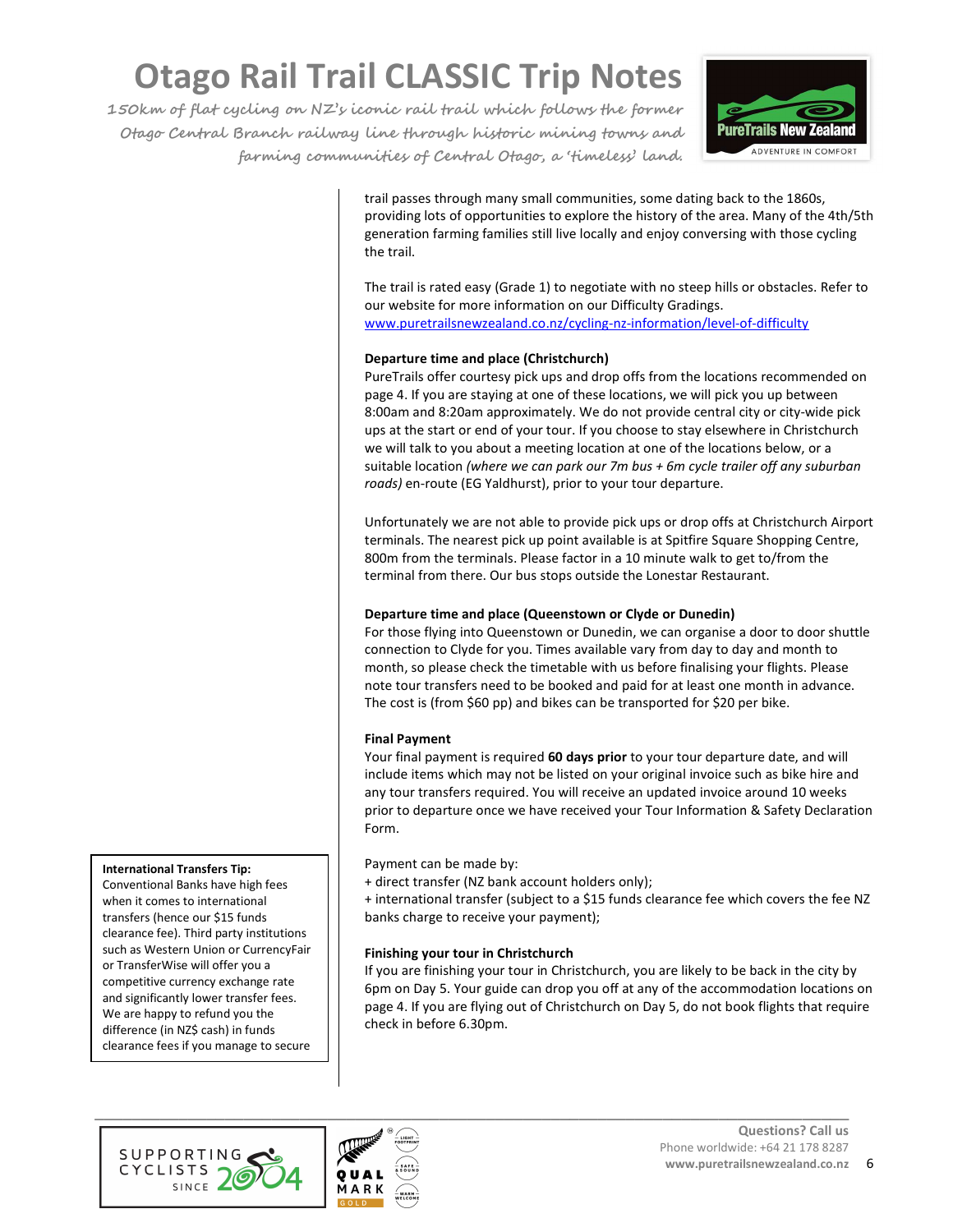**150km of flat cycling on NZ's iconic rail trail which follows the former Otago Central Branch railway line through historic mining towns and farming communities of Central Otago, a 'timeless' land.** 



trail passes through many small communities, some dating back to the 1860s, providing lots of opportunities to explore the history of the area. Many of the 4th/5th generation farming families still live locally and enjoy conversing with those cycling the trail.

The trail is rated easy (Grade 1) to negotiate with no steep hills or obstacles. Refer to our website for more information on our Difficulty Gradings. www.puretrailsnewzealand.co.nz/cycling-nz-information/level-of-difficulty

#### **Departure time and place (Christchurch)**

PureTrails offer courtesy pick ups and drop offs from the locations recommended on page 4. If you are staying at one of these locations, we will pick you up between 8:00am and 8:20am approximately. We do not provide central city or city-wide pick ups at the start or end of your tour. If you choose to stay elsewhere in Christchurch we will talk to you about a meeting location at one of the locations below, or a suitable location *(where we can park our 7m bus + 6m cycle trailer off any suburban roads)* en-route (EG Yaldhurst), prior to your tour departure.

Unfortunately we are not able to provide pick ups or drop offs at Christchurch Airport terminals. The nearest pick up point available is at Spitfire Square Shopping Centre, 800m from the terminals. Please factor in a 10 minute walk to get to/from the terminal from there. Our bus stops outside the Lonestar Restaurant.

#### **Departure time and place (Queenstown or Clyde or Dunedin)**

For those flying into Queenstown or Dunedin, we can organise a door to door shuttle connection to Clyde for you. Times available vary from day to day and month to month, so please check the timetable with us before finalising your flights. Please note tour transfers need to be booked and paid for at least one month in advance. The cost is (from \$60 pp) and bikes can be transported for \$20 per bike.

#### **Final Payment**

Your final payment is required **60 days prior** to your tour departure date, and will include items which may not be listed on your original invoice such as bike hire and any tour transfers required. You will receive an updated invoice around 10 weeks prior to departure once we have received your Tour Information & Safety Declaration Form.

Payment can be made by:

+ direct transfer (NZ bank account holders only);

+ international transfer (subject to a \$15 funds clearance fee which covers the fee NZ banks charge to receive your payment);

#### **Finishing your tour in Christchurch**

If you are finishing your tour in Christchurch, you are likely to be back in the city by 6pm on Day 5. Your guide can drop you off at any of the accommodation locations on page 4. If you are flying out of Christchurch on Day 5, do not book flights that require check in before 6.30pm.





**International Transfers Tip:** 

a better rate.

Conventional Banks have high fees when it comes to international transfers (hence our \$15 funds clearance fee). Third party institutions such as Western Union or CurrencyFair or TransferWise will offer you a competitive currency exchange rate and significantly lower transfer fees. We are happy to refund you the difference (in NZ\$ cash) in funds clearance fees if you manage to secure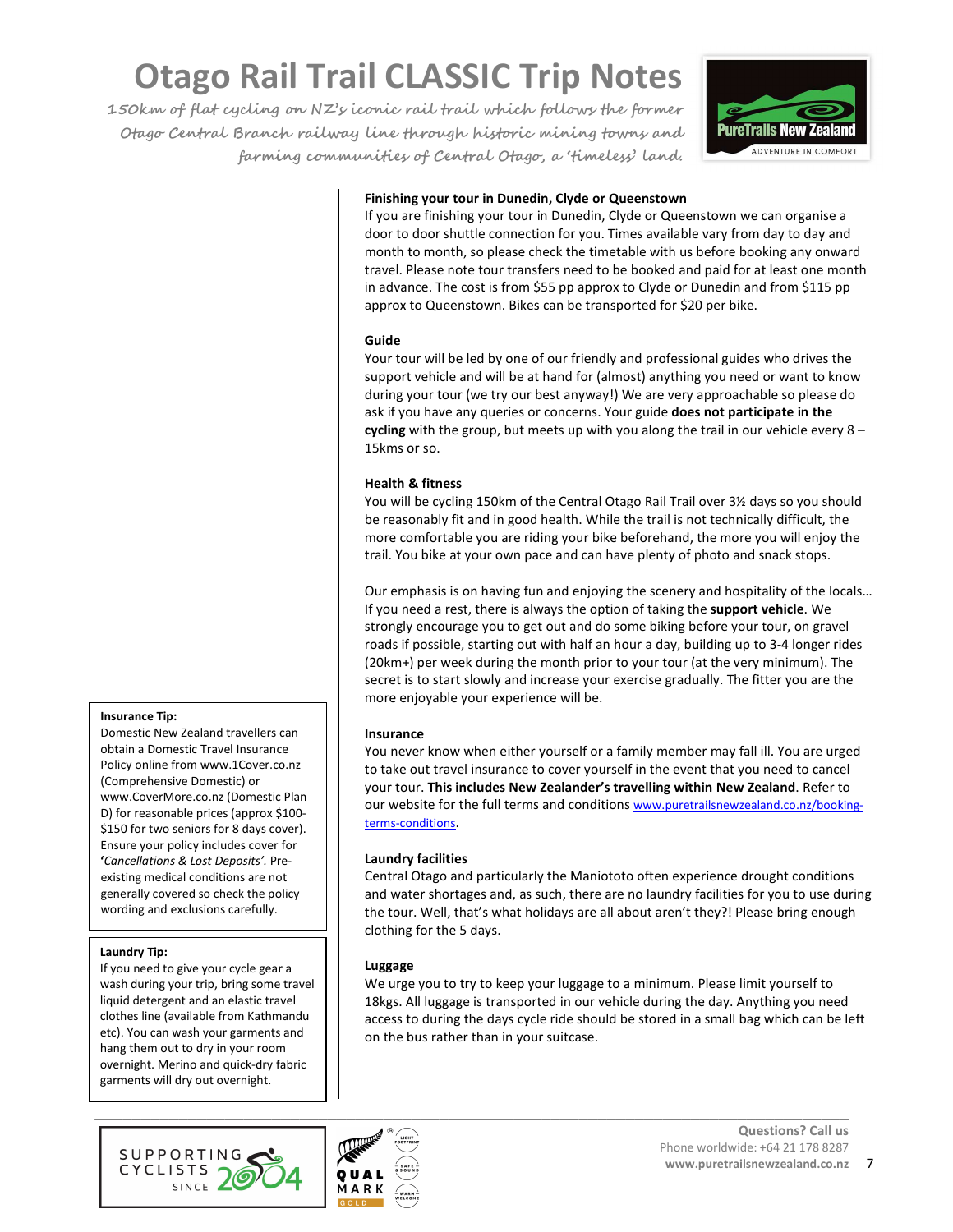**150km of flat cycling on NZ's iconic rail trail which follows the former Otago Central Branch railway line through historic mining towns and farming communities of Central Otago, a 'timeless' land.** 



#### **Finishing your tour in Dunedin, Clyde or Queenstown**

If you are finishing your tour in Dunedin, Clyde or Queenstown we can organise a door to door shuttle connection for you. Times available vary from day to day and month to month, so please check the timetable with us before booking any onward travel. Please note tour transfers need to be booked and paid for at least one month in advance. The cost is from \$55 pp approx to Clyde or Dunedin and from \$115 pp approx to Queenstown. Bikes can be transported for \$20 per bike.

#### **Guide**

Your tour will be led by one of our friendly and professional guides who drives the support vehicle and will be at hand for (almost) anything you need or want to know during your tour (we try our best anyway!) We are very approachable so please do ask if you have any queries or concerns. Your guide **does not participate in the cycling** with the group, but meets up with you along the trail in our vehicle every 8 – 15kms or so.

#### **Health & fitness**

You will be cycling 150km of the Central Otago Rail Trail over 3½ days so you should be reasonably fit and in good health. While the trail is not technically difficult, the more comfortable you are riding your bike beforehand, the more you will enjoy the trail. You bike at your own pace and can have plenty of photo and snack stops.

Our emphasis is on having fun and enjoying the scenery and hospitality of the locals… If you need a rest, there is always the option of taking the **support vehicle**. We strongly encourage you to get out and do some biking before your tour, on gravel roads if possible, starting out with half an hour a day, building up to 3-4 longer rides (20km+) per week during the month prior to your tour (at the very minimum). The secret is to start slowly and increase your exercise gradually. The fitter you are the more enjoyable your experience will be.

#### **Insurance**

You never know when either yourself or a family member may fall ill. You are urged to take out travel insurance to cover yourself in the event that you need to cancel your tour. **This includes New Zealander's travelling within New Zealand**. Refer to our website for the full terms and conditions www.puretrailsnewzealand.co.nz/bookingterms-conditions.

#### **Laundry facilities**

Central Otago and particularly the Maniototo often experience drought conditions and water shortages and, as such, there are no laundry facilities for you to use during the tour. Well, that's what holidays are all about aren't they?! Please bring enough clothing for the 5 days.

#### **Luggage**

We urge you to try to keep your luggage to a minimum. Please limit yourself to 18kgs. All luggage is transported in our vehicle during the day. Anything you need access to during the days cycle ride should be stored in a small bag which can be left on the bus rather than in your suitcase.





#### **Insurance Tip:**

Domestic New Zealand travellers can obtain a Domestic Travel Insurance Policy online from www.1Cover.co.nz (Comprehensive Domestic) or www.CoverMore.co.nz (Domestic Plan D) for reasonable prices (approx \$100- \$150 for two seniors for 8 days cover). Ensure your policy includes cover for **'***Cancellations & Lost Deposits'.* Preexisting medical conditions are not generally covered so check the policy wording and exclusions carefully.

#### **Laundry Tip:**

If you need to give your cycle gear a wash during your trip, bring some travel liquid detergent and an elastic travel clothes line (available from Kathmandu etc). You can wash your garments and hang them out to dry in your room overnight. Merino and quick-dry fabric garments will dry out overnight.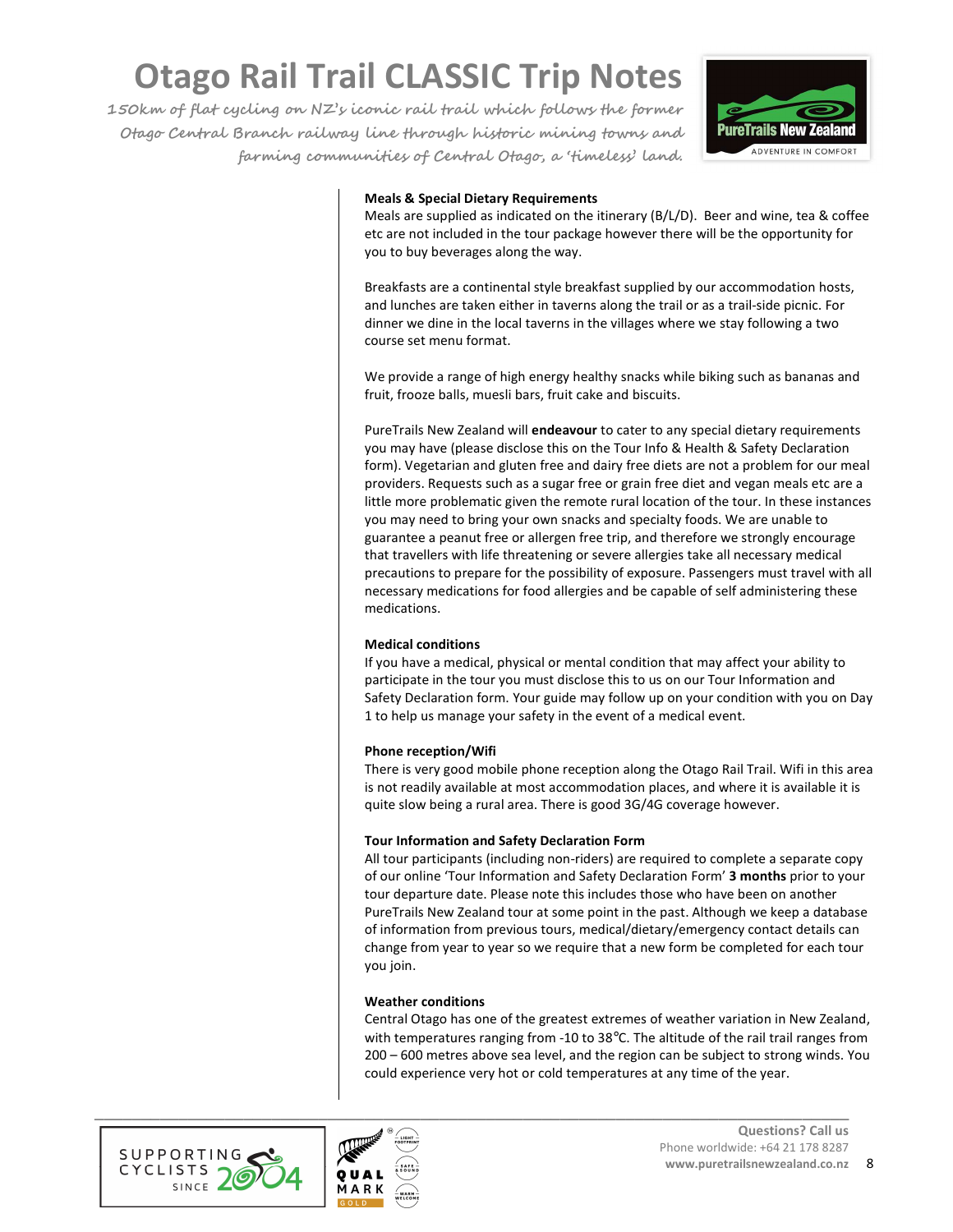**150km of flat cycling on NZ's iconic rail trail which follows the former Otago Central Branch railway line through historic mining towns and farming communities of Central Otago, a 'timeless' land.** 



#### **Meals & Special Dietary Requirements**

Meals are supplied as indicated on the itinerary (B/L/D). Beer and wine, tea & coffee etc are not included in the tour package however there will be the opportunity for you to buy beverages along the way.

Breakfasts are a continental style breakfast supplied by our accommodation hosts, and lunches are taken either in taverns along the trail or as a trail-side picnic. For dinner we dine in the local taverns in the villages where we stay following a two course set menu format.

We provide a range of high energy healthy snacks while biking such as bananas and fruit, frooze balls, muesli bars, fruit cake and biscuits.

PureTrails New Zealand will **endeavour** to cater to any special dietary requirements you may have (please disclose this on the Tour Info & Health & Safety Declaration form). Vegetarian and gluten free and dairy free diets are not a problem for our meal providers. Requests such as a sugar free or grain free diet and vegan meals etc are a little more problematic given the remote rural location of the tour. In these instances you may need to bring your own snacks and specialty foods. We are unable to guarantee a peanut free or allergen free trip, and therefore we strongly encourage that travellers with life threatening or severe allergies take all necessary medical precautions to prepare for the possibility of exposure. Passengers must travel with all necessary medications for food allergies and be capable of self administering these medications.

#### **Medical conditions**

If you have a medical, physical or mental condition that may affect your ability to participate in the tour you must disclose this to us on our Tour Information and Safety Declaration form. Your guide may follow up on your condition with you on Day 1 to help us manage your safety in the event of a medical event.

#### **Phone reception/Wifi**

There is very good mobile phone reception along the Otago Rail Trail. Wifi in this area is not readily available at most accommodation places, and where it is available it is quite slow being a rural area. There is good 3G/4G coverage however.

#### **Tour Information and Safety Declaration Form**

All tour participants (including non-riders) are required to complete a separate copy of our online 'Tour Information and Safety Declaration Form' **3 months** prior to your tour departure date. Please note this includes those who have been on another PureTrails New Zealand tour at some point in the past. Although we keep a database of information from previous tours, medical/dietary/emergency contact details can change from year to year so we require that a new form be completed for each tour you join.

#### **Weather conditions**

Central Otago has one of the greatest extremes of weather variation in New Zealand, with temperatures ranging from -10 to 38°C. The altitude of the rail trail ranges from 200 – 600 metres above sea level, and the region can be subject to strong winds. You could experience very hot or cold temperatures at any time of the year.